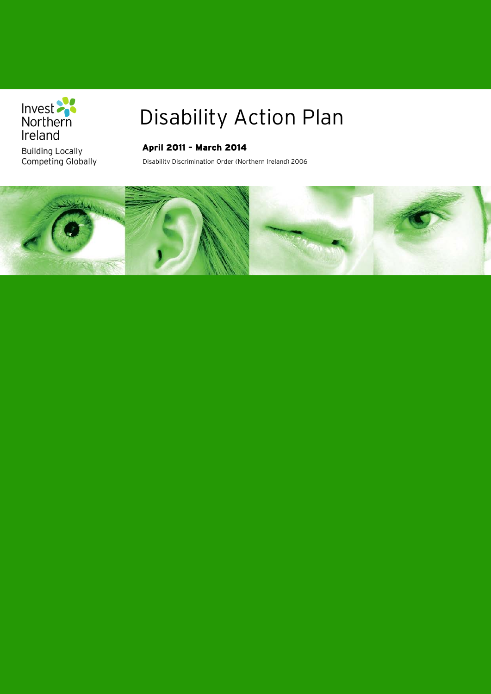

**Building Locally** Competing Globally

### Disability Action Plan

### **April 2011 – March 2014**

Disability Discrimination Order (Northern Ireland) 2006

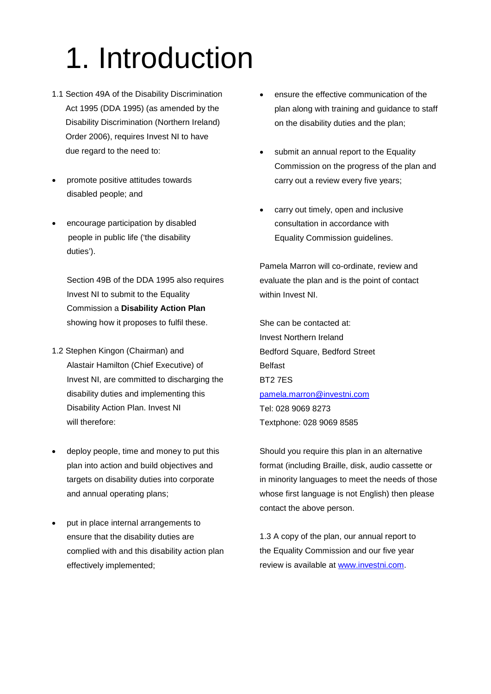# 1. Introduction

- 1.1 Section 49A of the Disability Discrimination Act 1995 (DDA 1995) (as amended by the Disability Discrimination (Northern Ireland) Order 2006), requires Invest NI to have due regard to the need to:
- promote positive attitudes towards disabled people; and
- encourage participation by disabled people in public life ('the disability duties').

Section 49B of the DDA 1995 also requires Invest NI to submit to the Equality Commission a **Disability Action Plan** showing how it proposes to fulfil these.

- 1.2 Stephen Kingon (Chairman) and Alastair Hamilton (Chief Executive) of Invest NI, are committed to discharging the disability duties and implementing this Disability Action Plan. Invest NI will therefore:
- deploy people, time and money to put this plan into action and build objectives and targets on disability duties into corporate and annual operating plans;
- put in place internal arrangements to ensure that the disability duties are complied with and this disability action plan effectively implemented;
- ensure the effective communication of the plan along with training and guidance to staff on the disability duties and the plan;
- submit an annual report to the Equality Commission on the progress of the plan and carry out a review every five years;
- carry out timely, open and inclusive consultation in accordance with Equality Commission guidelines.

Pamela Marron will co-ordinate, review and evaluate the plan and is the point of contact within Invest NI.

She can be contacted at: Invest Northern Ireland Bedford Square, Bedford Street Belfast BT2 7ES [pamela.marron@investni.com](mailto:pamela.marron@investni.com) Tel: 028 9069 8273 Textphone: 028 9069 8585

Should you require this plan in an alternative format (including Braille, disk, audio cassette or in minority languages to meet the needs of those whose first language is not English) then please contact the above person.

1.3 A copy of the plan, our annual report to the Equality Commission and our five year review is available at [www.investni.com.](http://www.investni.com/)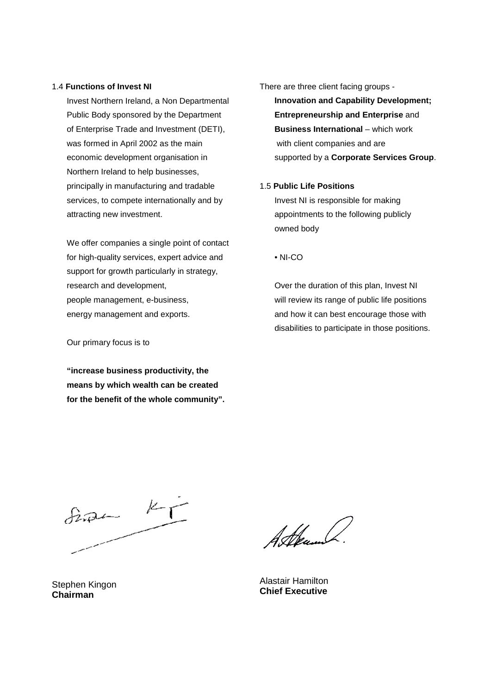### 1.4 **Functions of Invest NI**

Invest Northern Ireland, a Non Departmental Public Body sponsored by the Department of Enterprise Trade and Investment (DETI), was formed in April 2002 as the main economic development organisation in Northern Ireland to help businesses, principally in manufacturing and tradable services, to compete internationally and by attracting new investment.

We offer companies a single point of contact for high-quality services, expert advice and support for growth particularly in strategy, research and development, people management, e-business, energy management and exports.

#### Our primary focus is to

**"increase business productivity, the means by which wealth can be created for the benefit of the whole community".** There are three client facing groups -

**Innovation and Capability Development; Entrepreneurship and Enterprise** and **Business International** – which work with client companies and are supported by a **Corporate Services Group**.

#### 1.5 **Public Life Positions**

Invest NI is responsible for making appointments to the following publicly owned body

• NI-CO

Over the duration of this plan, Invest NI will review its range of public life positions and how it can best encourage those with disabilities to participate in those positions.

 $\frac{1}{2}$ 

Alkam

Alastair Hamilton **Chief Executive**

Stephen Kingon **Chairman**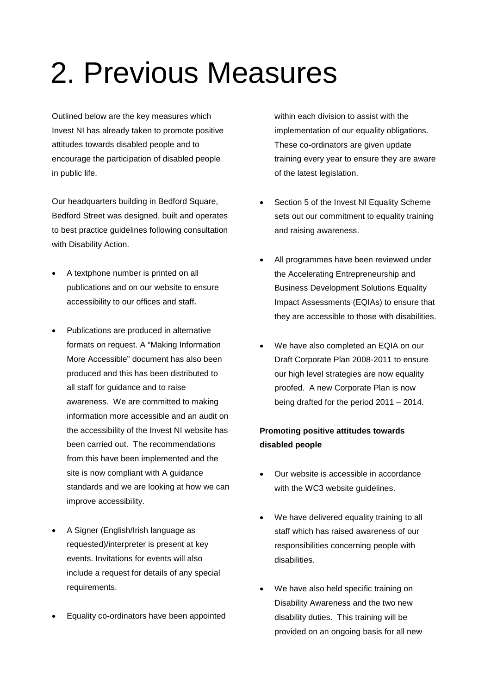### 2. Previous Measures

Outlined below are the key measures which Invest NI has already taken to promote positive attitudes towards disabled people and to encourage the participation of disabled people in public life.

Our headquarters building in Bedford Square, Bedford Street was designed, built and operates to best practice guidelines following consultation with Disability Action.

- A textphone number is printed on all publications and on our website to ensure accessibility to our offices and staff**.**
- Publications are produced in alternative formats on request. A "Making Information More Accessible" document has also been produced and this has been distributed to all staff for guidance and to raise awareness. We are committed to making information more accessible and an audit on the accessibility of the Invest NI website has been carried out. The recommendations from this have been implemented and the site is now compliant with A guidance standards and we are looking at how we can improve accessibility.
- A Signer (English/Irish language as requested)/interpreter is present at key events. Invitations for events will also include a request for details of any special requirements.
- Equality co-ordinators have been appointed

within each division to assist with the implementation of our equality obligations. These co-ordinators are given update training every year to ensure they are aware of the latest legislation.

- Section 5 of the Invest NI Equality Scheme sets out our commitment to equality training and raising awareness.
- All programmes have been reviewed under the Accelerating Entrepreneurship and Business Development Solutions Equality Impact Assessments (EQIAs) to ensure that they are accessible to those with disabilities.
- We have also completed an EQIA on our Draft Corporate Plan 2008-2011 to ensure our high level strategies are now equality proofed. A new Corporate Plan is now being drafted for the period 2011 – 2014.

### **Promoting positive attitudes towards disabled people**

- Our website is accessible in accordance with the WC3 website guidelines.
- We have delivered equality training to all staff which has raised awareness of our responsibilities concerning people with disabilities.
- We have also held specific training on Disability Awareness and the two new disability duties. This training will be provided on an ongoing basis for all new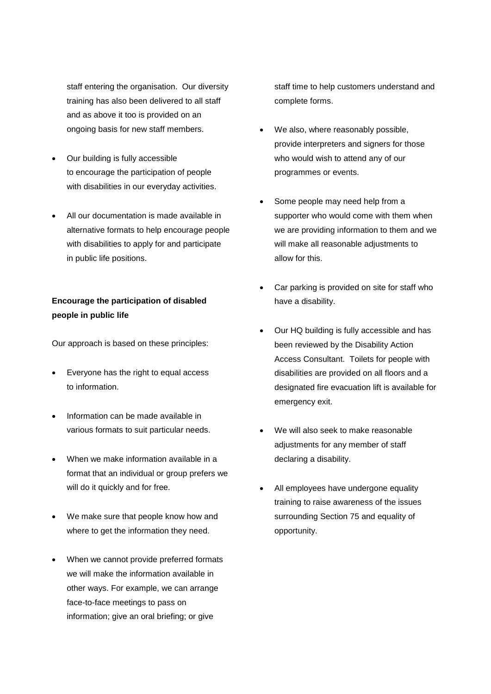staff entering the organisation. Our diversity training has also been delivered to all staff and as above it too is provided on an ongoing basis for new staff members.

- Our building is fully accessible to encourage the participation of people with disabilities in our everyday activities.
- All our documentation is made available in alternative formats to help encourage people with disabilities to apply for and participate in public life positions.

### **Encourage the participation of disabled people in public life**

Our approach is based on these principles:

- Everyone has the right to equal access to information.
- Information can be made available in various formats to suit particular needs.
- When we make information available in a format that an individual or group prefers we will do it quickly and for free.
- We make sure that people know how and where to get the information they need.
- When we cannot provide preferred formats we will make the information available in other ways. For example, we can arrange face-to-face meetings to pass on information; give an oral briefing; or give

staff time to help customers understand and complete forms.

- We also, where reasonably possible, provide interpreters and signers for those who would wish to attend any of our programmes or events.
- Some people may need help from a supporter who would come with them when we are providing information to them and we will make all reasonable adjustments to allow for this.
- Car parking is provided on site for staff who have a disability.
- Our HQ building is fully accessible and has been reviewed by the Disability Action Access Consultant. Toilets for people with disabilities are provided on all floors and a designated fire evacuation lift is available for emergency exit.
- We will also seek to make reasonable adjustments for any member of staff declaring a disability.
- All employees have undergone equality training to raise awareness of the issues surrounding Section 75 and equality of opportunity.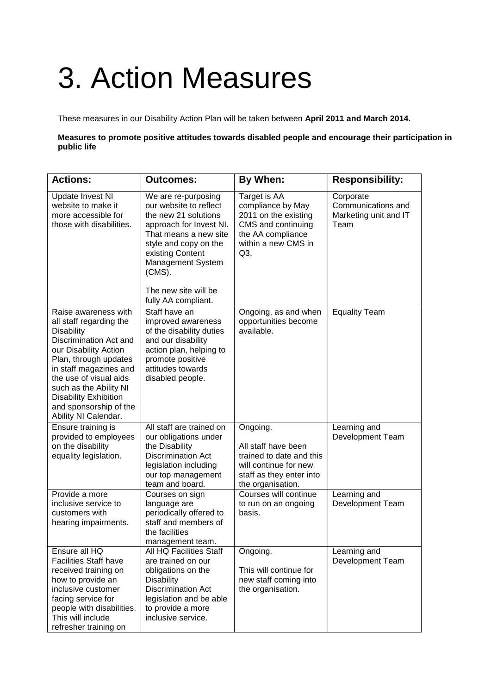# 3. Action Measures

These measures in our Disability Action Plan will be taken between **April 2011 and March 2014.**

**Measures to promote positive attitudes towards disabled people and encourage their participation in public life**

| <b>Actions:</b>                                                                                                                                                                                                                                                                                                  | <b>Outcomes:</b>                                                                                                                                                                                                                                        | By When:                                                                                                                              | <b>Responsibility:</b>                                           |
|------------------------------------------------------------------------------------------------------------------------------------------------------------------------------------------------------------------------------------------------------------------------------------------------------------------|---------------------------------------------------------------------------------------------------------------------------------------------------------------------------------------------------------------------------------------------------------|---------------------------------------------------------------------------------------------------------------------------------------|------------------------------------------------------------------|
| <b>Update Invest NI</b><br>website to make it<br>more accessible for<br>those with disabilities.                                                                                                                                                                                                                 | We are re-purposing<br>our website to reflect<br>the new 21 solutions<br>approach for Invest NI.<br>That means a new site<br>style and copy on the<br>existing Content<br>Management System<br>$(CMS)$ .<br>The new site will be<br>fully AA compliant. | Target is AA<br>compliance by May<br>2011 on the existing<br>CMS and continuing<br>the AA compliance<br>within a new CMS in<br>Q3.    | Corporate<br>Communications and<br>Marketing unit and IT<br>Team |
| Raise awareness with<br>all staff regarding the<br><b>Disability</b><br>Discrimination Act and<br>our Disability Action<br>Plan, through updates<br>in staff magazines and<br>the use of visual aids<br>such as the Ability NI<br><b>Disability Exhibition</b><br>and sponsorship of the<br>Ability NI Calendar. | Staff have an<br>improved awareness<br>of the disability duties<br>and our disability<br>action plan, helping to<br>promote positive<br>attitudes towards<br>disabled people.                                                                           | Ongoing, as and when<br>opportunities become<br>available.                                                                            | <b>Equality Team</b>                                             |
| Ensure training is<br>provided to employees<br>on the disability<br>equality legislation.                                                                                                                                                                                                                        | All staff are trained on<br>our obligations under<br>the Disability<br><b>Discrimination Act</b><br>legislation including<br>our top management<br>team and board.                                                                                      | Ongoing.<br>All staff have been<br>trained to date and this<br>will continue for new<br>staff as they enter into<br>the organisation. | Learning and<br>Development Team                                 |
| Provide a more<br>inclusive service to<br>customers with<br>hearing impairments.                                                                                                                                                                                                                                 | Courses on sign<br>language are<br>periodically offered to<br>staff and members of<br>the facilities<br>management team.                                                                                                                                | Courses will continue<br>to run on an ongoing<br>basis.                                                                               | Learning and<br>Development Team                                 |
| Ensure all HQ<br><b>Facilities Staff have</b><br>received training on<br>how to provide an<br>inclusive customer<br>facing service for<br>people with disabilities.<br>This will include<br>refresher training on                                                                                                | All HQ Facilities Staff<br>are trained on our<br>obligations on the<br><b>Disability</b><br><b>Discrimination Act</b><br>legislation and be able<br>to provide a more<br>inclusive service.                                                             | Ongoing.<br>This will continue for<br>new staff coming into<br>the organisation.                                                      | Learning and<br>Development Team                                 |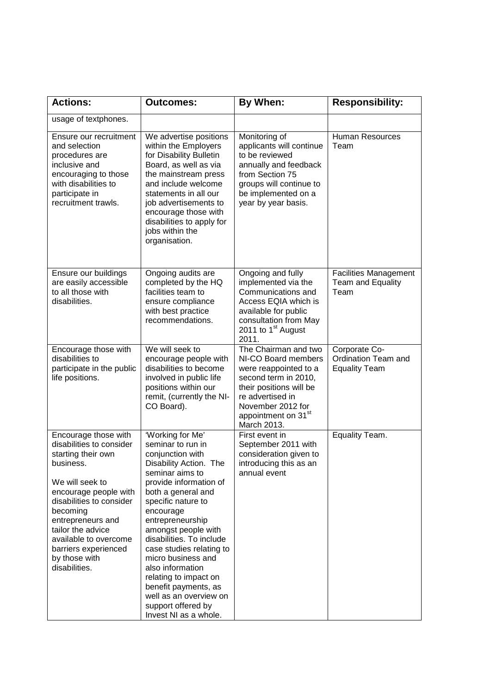| <b>Actions:</b>                                                                                                                                                                                                                                                                                      | <b>Outcomes:</b>                                                                                                                                                                                                                                                                                                                                                                                                                                                 | By When:                                                                                                                                                                                                           | <b>Responsibility:</b>                                       |
|------------------------------------------------------------------------------------------------------------------------------------------------------------------------------------------------------------------------------------------------------------------------------------------------------|------------------------------------------------------------------------------------------------------------------------------------------------------------------------------------------------------------------------------------------------------------------------------------------------------------------------------------------------------------------------------------------------------------------------------------------------------------------|--------------------------------------------------------------------------------------------------------------------------------------------------------------------------------------------------------------------|--------------------------------------------------------------|
| usage of textphones.                                                                                                                                                                                                                                                                                 |                                                                                                                                                                                                                                                                                                                                                                                                                                                                  |                                                                                                                                                                                                                    |                                                              |
| Ensure our recruitment<br>and selection<br>procedures are<br>inclusive and<br>encouraging to those<br>with disabilities to<br>participate in<br>recruitment trawls.                                                                                                                                  | We advertise positions<br>within the Employers<br>for Disability Bulletin<br>Board, as well as via<br>the mainstream press<br>and include welcome<br>statements in all our<br>job advertisements to<br>encourage those with<br>disabilities to apply for<br>jobs within the<br>organisation.                                                                                                                                                                     | Monitoring of<br>applicants will continue<br>to be reviewed<br>annually and feedback<br>from Section 75<br>groups will continue to<br>be implemented on a<br>year by year basis.                                   | <b>Human Resources</b><br>Team                               |
| Ensure our buildings<br>are easily accessible<br>to all those with<br>disabilities.                                                                                                                                                                                                                  | Ongoing audits are<br>completed by the HQ<br>facilities team to<br>ensure compliance<br>with best practice<br>recommendations.                                                                                                                                                                                                                                                                                                                                   | Ongoing and fully<br>implemented via the<br>Communications and<br>Access EQIA which is<br>available for public<br>consultation from May<br>2011 to $1st$ August<br>2011.                                           | <b>Facilities Management</b><br>Team and Equality<br>Team    |
| Encourage those with<br>disabilities to<br>participate in the public<br>life positions.                                                                                                                                                                                                              | We will seek to<br>encourage people with<br>disabilities to become<br>involved in public life<br>positions within our<br>remit, (currently the NI-<br>CO Board).                                                                                                                                                                                                                                                                                                 | The Chairman and two<br>NI-CO Board members<br>were reappointed to a<br>second term in 2010,<br>their positions will be<br>re advertised in<br>November 2012 for<br>appointment on 31 <sup>st</sup><br>March 2013. | Corporate Co-<br>Ordination Team and<br><b>Equality Team</b> |
| Encourage those with<br>disabilities to consider<br>starting their own<br>business.<br>We will seek to<br>encourage people with<br>disabilities to consider<br>becoming<br>entrepreneurs and<br>tailor the advice<br>available to overcome<br>barriers experienced<br>by those with<br>disabilities. | 'Working for Me'<br>seminar to run in<br>conjunction with<br>Disability Action. The<br>seminar aims to<br>provide information of<br>both a general and<br>specific nature to<br>encourage<br>entrepreneurship<br>amongst people with<br>disabilities. To include<br>case studies relating to<br>micro business and<br>also information<br>relating to impact on<br>benefit payments, as<br>well as an overview on<br>support offered by<br>Invest NI as a whole. | First event in<br>September 2011 with<br>consideration given to<br>introducing this as an<br>annual event                                                                                                          | Equality Team.                                               |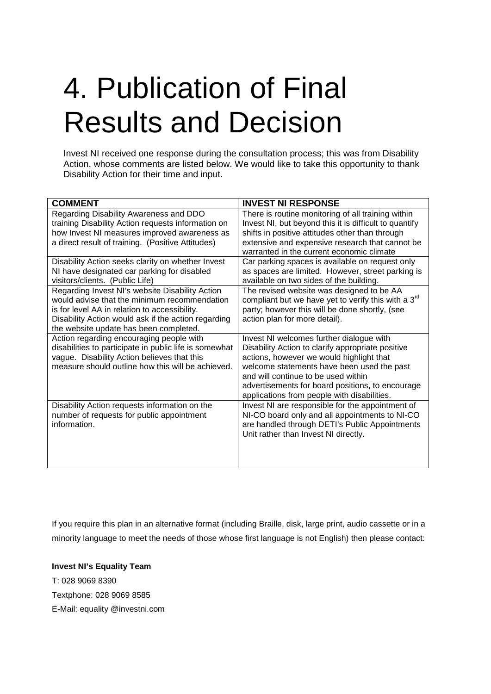## 4. Publication of Final Results and Decision

Invest NI received one response during the consultation process; this was from Disability Action, whose comments are listed below. We would like to take this opportunity to thank Disability Action for their time and input.

| <b>COMMENT</b>                                                                                   | <b>INVEST NI RESPONSE</b>                                                                    |  |
|--------------------------------------------------------------------------------------------------|----------------------------------------------------------------------------------------------|--|
| Regarding Disability Awareness and DDO                                                           | There is routine monitoring of all training within                                           |  |
| training Disability Action requests information on                                               | Invest NI, but beyond this it is difficult to quantify                                       |  |
| how Invest NI measures improved awareness as                                                     | shifts in positive attitudes other than through                                              |  |
| a direct result of training. (Positive Attitudes)                                                | extensive and expensive research that cannot be<br>warranted in the current economic climate |  |
| Disability Action seeks clarity on whether Invest                                                | Car parking spaces is available on request only                                              |  |
| NI have designated car parking for disabled                                                      | as spaces are limited. However, street parking is                                            |  |
| visitors/clients. (Public Life)                                                                  | available on two sides of the building.                                                      |  |
| Regarding Invest NI's website Disability Action                                                  | The revised website was designed to be AA                                                    |  |
| would advise that the minimum recommendation                                                     | compliant but we have yet to verify this with a 3 <sup>rd</sup>                              |  |
| is for level AA in relation to accessibility.                                                    | party; however this will be done shortly, (see                                               |  |
| Disability Action would ask if the action regarding                                              | action plan for more detail).                                                                |  |
| the website update has been completed.                                                           |                                                                                              |  |
| Action regarding encouraging people with                                                         | Invest NI welcomes further dialogue with                                                     |  |
| disabilities to participate in public life is somewhat                                           | Disability Action to clarify appropriate positive                                            |  |
| vague. Disability Action believes that this<br>measure should outline how this will be achieved. | actions, however we would highlight that<br>welcome statements have been used the past       |  |
|                                                                                                  | and will continue to be used within                                                          |  |
|                                                                                                  | advertisements for board positions, to encourage                                             |  |
|                                                                                                  | applications from people with disabilities.                                                  |  |
| Disability Action requests information on the                                                    | Invest NI are responsible for the appointment of                                             |  |
| number of requests for public appointment                                                        | NI-CO board only and all appointments to NI-CO                                               |  |
| information.                                                                                     | are handled through DETI's Public Appointments                                               |  |
|                                                                                                  | Unit rather than Invest NI directly.                                                         |  |
|                                                                                                  |                                                                                              |  |
|                                                                                                  |                                                                                              |  |
|                                                                                                  |                                                                                              |  |

If you require this plan in an alternative format (including Braille, disk, large print, audio cassette or in a minority language to meet the needs of those whose first language is not English) then please contact:

### **Invest NI's Equality Team**

T: 028 9069 8390 Textphone: 028 9069 8585 E-Mail: equality @investni.com